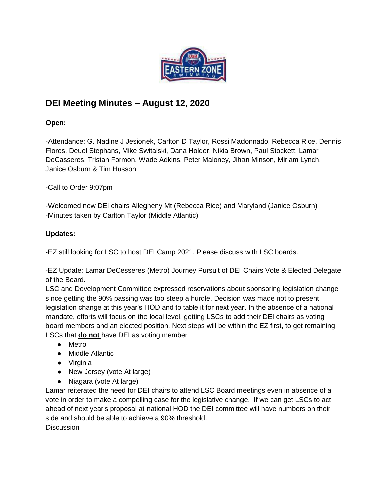

## **DEI Meeting Minutes – August 12, 2020**

## **Open:**

-Attendance: G. Nadine J Jesionek, Carlton D Taylor, Rossi Madonnado, Rebecca Rice, Dennis Flores, Deuel Stephans, Mike Switalski, Dana Holder, Nikia Brown, Paul Stockett, Lamar DeCasseres, Tristan Formon, Wade Adkins, Peter Maloney, Jihan Minson, Miriam Lynch, Janice Osburn & Tim Husson

-Call to Order 9:07pm

-Welcomed new DEI chairs Allegheny Mt (Rebecca Rice) and Maryland (Janice Osburn) -Minutes taken by Carlton Taylor (Middle Atlantic)

## **Updates:**

-EZ still looking for LSC to host DEI Camp 2021. Please discuss with LSC boards.

-EZ Update: Lamar DeCesseres (Metro) Journey Pursuit of DEI Chairs Vote & Elected Delegate of the Board.

LSC and Development Committee expressed reservations about sponsoring legislation change since getting the 90% passing was too steep a hurdle. Decision was made not to present legislation change at this year's HOD and to table it for next year. In the absence of a national mandate, efforts will focus on the local level, getting LSCs to add their DEI chairs as voting board members and an elected position. Next steps will be within the EZ first, to get remaining LSCs that **do not** have DEI as voting member

- Metro
- Middle Atlantic
- Virginia
- New Jersey (vote At large)
- Niagara (vote At large)

Lamar reiterated the need for DEI chairs to attend LSC Board meetings even in absence of a vote in order to make a compelling case for the legislative change. If we can get LSCs to act ahead of next year's proposal at national HOD the DEI committee will have numbers on their side and should be able to achieve a 90% threshold.

**Discussion**